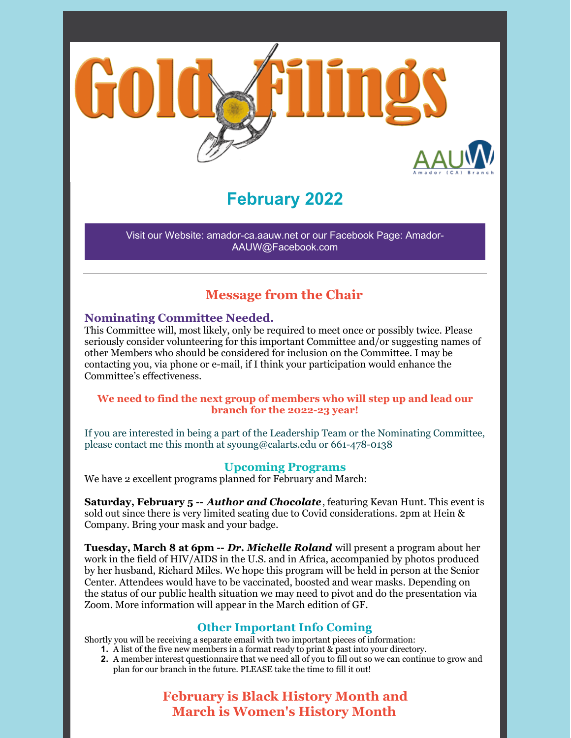

# **February 2022**

Visit our Website: amador-ca.aauw.net or our Facebook Page: Amador-AAUW@Facebook.com

### **Message from the Chair**

#### **Nominating Committee Needed.**

This Committee will, most likely, only be required to meet once or possibly twice. Please seriously consider volunteering for this important Committee and/or suggesting names of other Members who should be considered for inclusion on the Committee. I may be contacting you, via phone or e-mail, if I think your participation would enhance the Committee's effectiveness.

#### **We need to find the next group of members who will step up and lead our branch for the 2022-23 year!**

If you are interested in being a part of the Leadership Team or the Nominating Committee, please contact me this month at syoung@calarts.edu or 661-478-0138

#### **Upcoming Programs**

We have 2 excellent programs planned for February and March:

**Saturday, February 5 --** *Author and Chocolate*, featuring Kevan Hunt. This event is sold out since there is very limited seating due to Covid considerations. 2pm at Hein & Company. Bring your mask and your badge.

**Tuesday, March 8 at 6pm --** *Dr. Michelle Roland* will present a program about her work in the field of HIV/AIDS in the U.S. and in Africa, accompanied by photos produced by her husband, Richard Miles. We hope this program will be held in person at the Senior Center. Attendees would have to be vaccinated, boosted and wear masks. Depending on the status of our public health situation we may need to pivot and do the presentation via Zoom. More information will appear in the March edition of GF.

#### **Other Important Info Coming**

Shortly you will be receiving a separate email with two important pieces of information:

- **1.** A list of the five new members in a format ready to print & past into your directory.
- **2.** A member interest questionnaire that we need all of you to fill out so we can continue to grow and plan for our branch in the future. PLEASE take the time to fill it out!

**February is Black History Month and March is Women's History Month**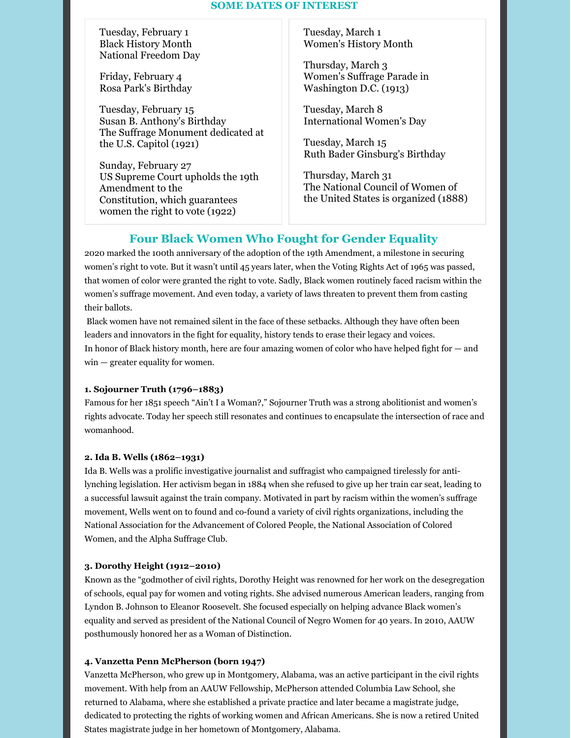#### **SOME DATES OF INTEREST**

Tuesday, February 1 Black History Month National Freedom Day

Friday, February 4 Rosa Park's Birthday

Tuesday, February 15 Susan B. Anthony's Birthday The Suffrage Monument dedicated at the U.S. Capitol (1921)

Sunday, February 27 US Supreme Court upholds the 19th Amendment to the Constitution, which guarantees women the right to vote (1922)

Tuesday, March 1 Women's History Month

Thursday, March 3 Women's Suffrage Parade in Washington D.C. (1913)

Tuesday, March 8 International Women's Day

Tuesday, March 15 Ruth Bader Ginsburg's Birthday

Thursday, March 31 The National Council of Women of the United States is organized (1888)

### **Four Black Women Who Fought for Gender Equality**

2020 marked the 100th anniversary of the adoption of the 19th Amendment, a milestone in securing women's right to vote. But it wasn't until 45 years later, when the Voting Rights Act of 1965 was passed, that women of color were granted the right to vote. Sadly, Black women routinely faced racism within the women's suffrage movement. And even today, a variety of laws threaten to prevent them from casting their ballots.

Black women have not remained silent in the face of these setbacks. Although they have often been leaders and innovators in the fight for equality, history tends to erase their legacy and voices. In honor of Black history month, here are four amazing women of color who have helped fight for — and win — greater equality for women.

#### **1. Sojourner Truth (1796–1883)**

Famous for her 1851 speech "Ain't I a Woman?," Sojourner Truth was a strong abolitionist and women's rights advocate. Today her speech still resonates and continues to encapsulate the intersection of race and womanhood.

#### **2. Ida B. Wells (1862–1931)**

Ida B. Wells was a prolific investigative journalist and suffragist who campaigned tirelessly for antilynching legislation. Her activism began in 1884 when she refused to give up her train car seat, leading to a successful lawsuit against the train company. Motivated in part by racism within the women's suffrage movement, Wells went on to found and co-found a variety of civil rights organizations, including the National Association for the Advancement of Colored People, the National Association of Colored Women, and the Alpha Suffrage Club.

#### **3. Dorothy Height (1912–2010)**

Known as the "godmother of civil rights, Dorothy Height was renowned for her work on the desegregation of schools, equal pay for women and voting rights. She advised numerous American leaders, ranging from Lyndon B. Johnson to Eleanor Roosevelt. She focused especially on helping advance Black women's equality and served as president of the National Council of Negro Women for 40 years. In 2010, AAUW posthumously honored her as a Woman of Distinction.

#### **4. Vanzetta Penn McPherson (born 1947)**

Vanzetta McPherson, who grew up in Montgomery, Alabama, was an active participant in the civil rights movement. With help from an AAUW Fellowship, McPherson attended Columbia Law School, she returned to Alabama, where she established a private practice and later became a magistrate judge, dedicated to protecting the rights of working women and African Americans. She is now a retired United States magistrate judge in her hometown of Montgomery, Alabama.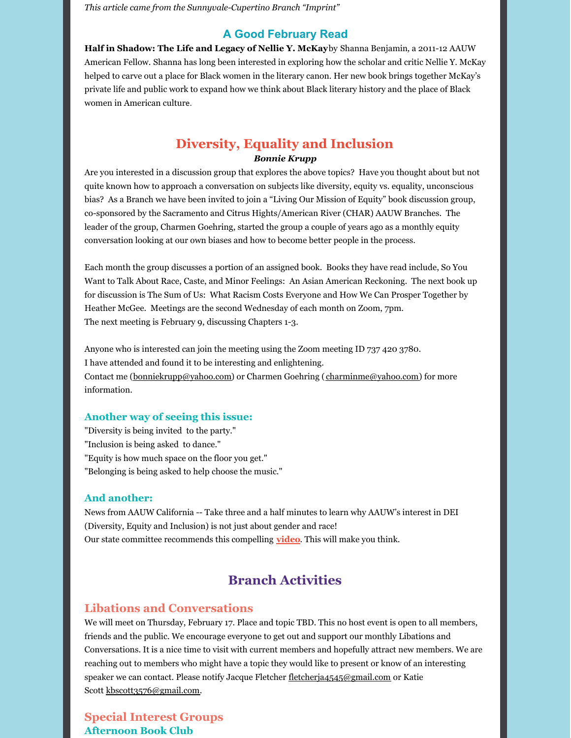*This article came from the Sunnyvale-Cupertino Branch "Imprint"*

#### **A Good February Read**

**Half in Shadow: The Life and Legacy of Nellie Y. McKay**by Shanna Benjamin*,* a 2011-12 AAUW American Fellow. Shanna has long been interested in exploring how the scholar and critic Nellie Y. McKay helped to carve out a place for Black women in the literary canon. Her new book brings together McKay's private life and public work to expand how we think about Black literary history and the place of Black women in American culture.

### **Diversity, Equality and Inclusion** *Bonnie Krupp*

Are you interested in a discussion group that explores the above topics? Have you thought about but not quite known how to approach a conversation on subjects like diversity, equity vs. equality, unconscious bias? As a Branch we have been invited to join a "Living Our Mission of Equity" book discussion group, co-sponsored by the Sacramento and Citrus Hights/American River (CHAR) AAUW Branches. The leader of the group, Charmen Goehring, started the group a couple of years ago as a monthly equity conversation looking at our own biases and how to become better people in the process.

Each month the group discusses a portion of an assigned book. Books they have read include, So You Want to Talk About Race, Caste, and Minor Feelings: An Asian American Reckoning. The next book up for discussion is The Sum of Us: What Racism Costs Everyone and How We Can Prosper Together by Heather McGee. Meetings are the second Wednesday of each month on Zoom, 7pm. The next meeting is February 9, discussing Chapters 1-3.

Anyone who is interested can join the meeting using the Zoom meeting ID 737 420 3780. I have attended and found it to be interesting and enlightening. Contact me (bonniekrupp@yahoo.com) or Charmen Goehring (charminme@yahoo.com) for more information.

#### **Another way of seeing this issue:**

"Diversity is being invited to the party." "Inclusion is being asked to dance." "Equity is how much space on the floor you get." "Belonging is being asked to help choose the music."

#### **And another:**

News from AAUW California -- Take three and a half minutes to learn why AAUW's interest in DEI (Diversity, Equity and Inclusion) is not just about gender and race! Our state committee recommends this compelling **video**. This will make you think.

### **Branch Activities**

#### **Libations and Conversations**

We will meet on Thursday, February 17. Place and topic TBD. This no host event is open to all members, friends and the public. We encourage everyone to get out and support our monthly Libations and Conversations. It is a nice time to visit with current members and hopefully attract new members. We are reaching out to members who might have a topic they would like to present or know of an interesting speaker we can contact. Please notify Jacque Fletcher fletcherja4545@gmail.com or Katie Scott kbscott3576@gmail.com.

**Special Interest Groups Afternoon Book Club**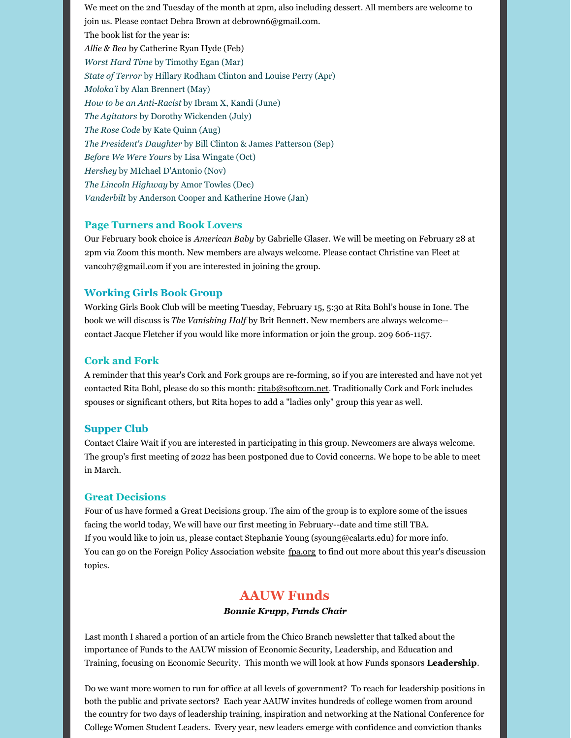We meet on the 2nd Tuesday of the month at 2pm, also including dessert. All members are welcome to join us. Please contact Debra Brown at debrown6@gmail.com. The book list for the year is: *Allie & Bea* by Catherine Ryan Hyde (Feb) *Worst Hard Time* by Timothy Egan (Mar) *State of Terror* by Hillary Rodham Clinton and Louise Perry (Apr) *Moloka'i* by Alan Brennert (May) *How to be an Anti-Racist* by Ibram X, Kandi (June) *The Agitators* by Dorothy Wickenden (July) *The Rose Code* by Kate Quinn (Aug) *The President's Daughter* by Bill Clinton & James Patterson (Sep) *Before We Were Yours* by Lisa Wingate (Oct) *Hershey* by MIchael D'Antonio (Nov) *The Lincoln Highway* by Amor Towles (Dec) *Vanderbilt* by Anderson Cooper and Katherine Howe (Jan)

#### **Page Turners and Book Lovers**

Our February book choice is *American Baby* by Gabrielle Glaser. We will be meeting on February 28 at 2pm via Zoom this month. New members are always welcome. Please contact Christine van Fleet at vancoh7@gmail.com if you are interested in joining the group.

#### **Working Girls Book Group**

Working Girls Book Club will be meeting Tuesday, February 15, 5:30 at Rita Bohl's house in Ione. The book we will discuss is *The Vanishing Half* by Brit Bennett. New members are always welcome- contact Jacque Fletcher if you would like more information or join the group. 209 606-1157.

#### **Cork and Fork**

A reminder that this year's Cork and Fork groups are re-forming, so if you are interested and have not yet contacted Rita Bohl, please do so this month: ritab@softcom.net. Traditionally Cork and Fork includes spouses or significant others, but Rita hopes to add a "ladies only" group this year as well.

#### **Supper Club**

Contact Claire Wait if you are interested in participating in this group. Newcomers are always welcome. The group's first meeting of 2022 has been postponed due to Covid concerns. We hope to be able to meet in March.

#### **Great Decisions**

Four of us have formed a Great Decisions group. The aim of the group is to explore some of the issues facing the world today, We will have our first meeting in February--date and time still TBA. If you would like to join us, please contact Stephanie Young (syoung@calarts.edu) for more info. You can go on the Foreign Policy Association website fpa.org to find out more about this year's discussion topics.

### **AAUW Funds**

#### *Bonnie Krupp, Funds Chair*

Last month I shared a portion of an article from the Chico Branch newsletter that talked about the importance of Funds to the AAUW mission of Economic Security, Leadership, and Education and Training, focusing on Economic Security. This month we will look at how Funds sponsors **Leadership**.

Do we want more women to run for office at all levels of government? To reach for leadership positions in both the public and private sectors? Each year AAUW invites hundreds of college women from around the country for two days of leadership training, inspiration and networking at the National Conference for College Women Student Leaders. Every year, new leaders emerge with confidence and conviction thanks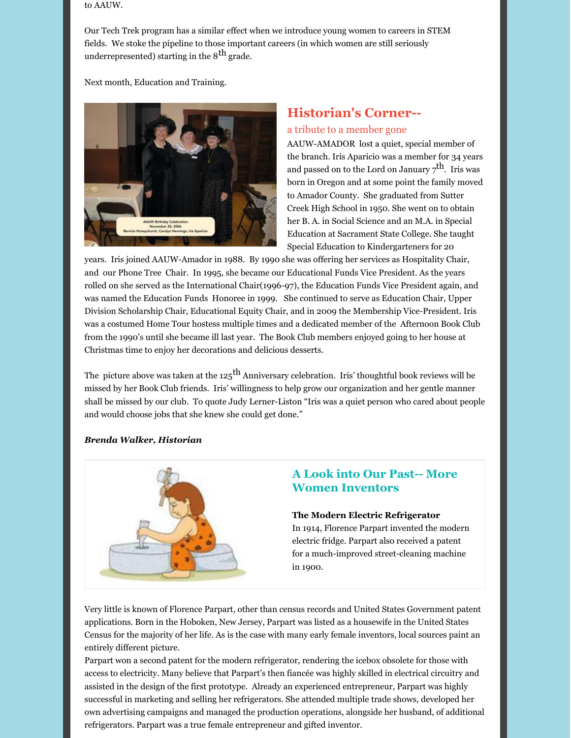to AAUW.

Our Tech Trek program has a similar effect when we introduce young women to careers in STEM fields. We stoke the pipeline to those important careers (in which women are still seriously underrepresented) starting in the  $8^{\text{th}}$  grade.

Next month, Education and Training.



## **Historian's Corner--**

#### a tribute to a member gone

AAUW-AMADOR lost a quiet, special member of the branch. Iris Aparicio was a member for 34 years and passed on to the Lord on January  $\mathbf{z}^\text{th}$ . Iris was born in Oregon and at some point the family moved to Amador County. She graduated from Sutter Creek High School in 1950. She went on to obtain her B. A. in Social Science and an M.A. in Special Education at Sacrament State College. She taught Special Education to Kindergarteners for 20

years. Iris joined AAUW-Amador in 1988. By 1990 she was offering her services as Hospitality Chair, and our Phone Tree Chair. In 1995, she became our Educational Funds Vice President. As the years rolled on she served as the International Chair(1996-97), the Education Funds Vice President again, and was named the Education Funds Honoree in 1999. She continued to serve as Education Chair, Upper Division Scholarship Chair, Educational Equity Chair, and in 2009 the Membership Vice-President. Iris was a costumed Home Tour hostess multiple times and a dedicated member of the Afternoon Book Club from the 1990's until she became ill last year. The Book Club members enjoyed going to her house at Christmas time to enjoy her decorations and delicious desserts.

The picture above was taken at the 125 $^{\rm th}$  Anniversary celebration. Iris' thoughtful book reviews will be missed by her Book Club friends. Iris' willingness to help grow our organization and her gentle manner shall be missed by our club. To quote Judy Lerner-Liston "Iris was a quiet person who cared about people and would choose jobs that she knew she could get done."

#### *Brenda Walker, Historian*



### **A Look into Our Past-- More Women Inventors**

#### **The Modern Electric Refrigerator**

In 1914, Florence Parpart invented the modern electric fridge. Parpart also received a patent for a much-improved street-cleaning machine in 1900.

Very little is known of Florence Parpart, other than census records and United States Government patent applications. Born in the Hoboken, New Jersey, Parpart was listed as a housewife in the United States Census for the majority of her life. As is the case with many early female inventors, local sources paint an entirely different picture.

Parpart won a second patent for the modern refrigerator, rendering the icebox obsolete for those with access to electricity. Many believe that Parpart's then fiancée was highly skilled in electrical circuitry and assisted in the design of the first prototype. Already an experienced entrepreneur, Parpart was highly successful in marketing and selling her refrigerators. She attended multiple trade shows, developed her own advertising campaigns and managed the production operations, alongside her husband, of additional refrigerators. Parpart was a true female entrepreneur and gifted inventor.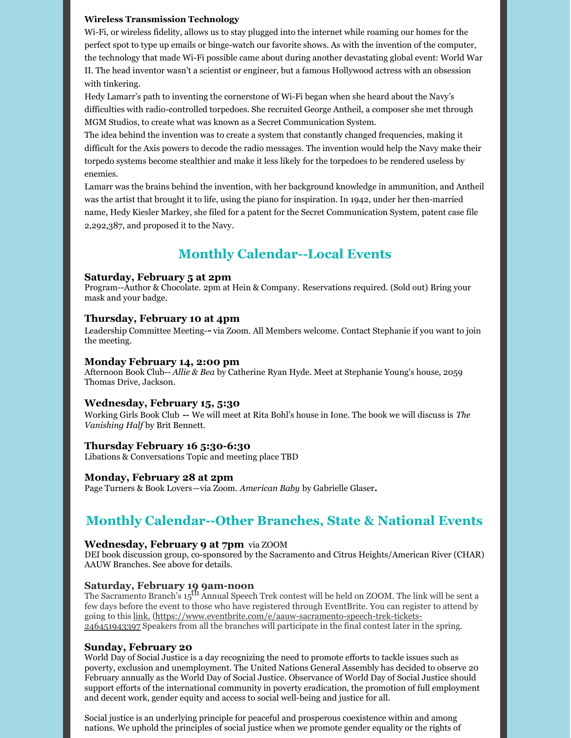#### **Wireless Transmission Technology**

Wi-Fi, or wireless fidelity, allows us to stay plugged into the internet while roaming our homes for the perfect spot to type up emails or binge-watch our favorite shows. As with the invention of the computer, the technology that made Wi-Fi possible came about during another devastating global event: World War II. The head inventor wasn't a scientist or engineer, but a famous Hollywood actress with an obsession with tinkering.

Hedy Lamarr's path to inventing the cornerstone of Wi-Fi began when she heard about the Navy's difficulties with radio-controlled torpedoes. She recruited George Antheil, a composer she met through MGM Studios, to create what was known as a Secret Communication System.

The idea behind the invention was to create a system that constantly changed frequencies, making it difficult for the Axis powers to decode the radio messages. The invention would help the Navy make their torpedo systems become stealthier and make it less likely for the torpedoes to be rendered useless by enemies.

Lamarr was the brains behind the invention, with her background knowledge in ammunition, and Antheil was the artist that brought it to life, using the piano for inspiration. In 1942, under her then-married name, Hedy Kiesler Markey, she filed for a patent for the Secret Communication System, patent case file 2,292,387, and proposed it to the Navy.

## **Monthly Calendar--Local Events**

#### **Saturday, February 5 at 2pm**

Program--Author & Chocolate. 2pm at Hein & Company. Reservations required. (Sold out) Bring your mask and your badge.

#### **Thursday, February 10 at 4pm**

Leadership Committee Meeting-**-** via Zoom. All Members welcome. Contact Stephanie if you want to join the meeting.

#### **Monday February 14, 2:00 pm**

Afternoon Book Club-- *Allie & Bea* by Catherine Ryan Hyde. Meet at Stephanie Young's house, 2059 Thomas Drive, Jackson.

#### **Wednesday, February 15, 5:30**

Working Girls Book Club **--** We will meet at Rita Bohl's house in Ione. The book we will discuss is *The Vanishing Half* by Brit Bennett.

#### **Thursday February 16 5:30-6:30**

Libations & Conversations Topic and meeting place TBD

#### **Monday, February 28 at 2pm**

Page Turners & Book Lovers—via Zoom. *American Baby* by Gabrielle Glaser**.**

### **Monthly Calendar--Other Branches, State & National Events**

#### **Wednesday, February 9 at 7pm** via ZOOM

DEI book discussion group, co-sponsored by the Sacramento and Citrus Heights/American River (CHAR) AAUW Branches. See above for details.

#### **Saturday, February 19 9am-noon**

The Sacramento Branch's 15 th Annual Speech Trek contest will be held on ZOOM. The link will be sent a few days before the event to those who have registered through EventBrite. You can register to attend by going to this link. (https://www.eventbrite.com/e/aauw-sacramento-speech-trek-tickets-246451943397 Speakers from all the branches will participate in the final contest later in the spring.

#### **Sunday, February 20**

World Day of Social Justice is a day recognizing the need to promote efforts to tackle issues such as poverty, exclusion and unemployment. The United Nations General Assembly has decided to observe 20 February annually as the World Day of Social Justice. Observance of World Day of Social Justice should support efforts of the international community in poverty eradication, the promotion of full employment and decent work, gender equity and access to social well-being and justice for all.

Social justice is an underlying principle for peaceful and prosperous coexistence within and among nations. We uphold the principles of social justice when we promote gender equality or the rights of